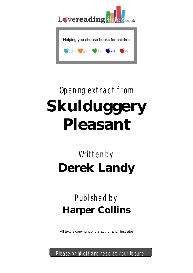

# Opening extract from **Skulduggery Pleasant**

## Written by **Derek Landy**

### Published by **Harper Collins**

All text is copyright of the author and illustrator

Please print off and read at your leisure.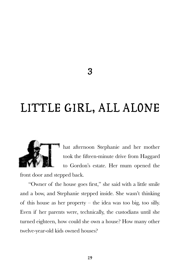#### **LITTLE GIRL, ALL ALONE**



hat afternoon Stephanie and her mother took the fifteen-minute drive from Haggard to Gordon's estate. Her mum opened the

front door and stepped back.

"Owner of the house goes first," she said with a little smile and a bow, and Stephanie stepped inside. She wasn't thinking of this house as her property – the idea was too big, too silly. Even if her parents were, technically, the custodians until she turned eighteen, how could she own a house? How many other twelve-year-old kids owned houses?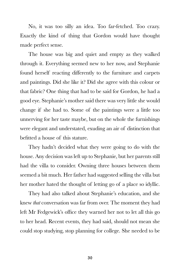No, it was too silly an idea. Too far-fetched. Too crazy. Exactly the kind of thing that Gordon would have thought made perfect sense.

The house was big and quiet and empty as they walked through it. Everything seemed new to her now, and Stephanie found herself reacting differently to the furniture and carpets and paintings. Did she like it? Did she agree with this colour or that fabric? One thing that had to be said for Gordon, he had a good eye. Stephanie's mother said there was very little she would change if she had to. Some of the paintings were a little too unnerving for her taste maybe, but on the whole the furnishings were elegant and understated, exuding an air of distinction that befitted a house of this stature.

They hadn't decided what they were going to do with the house. Any decision was left up to Stephanie, but her parents still had the villa to consider. Owning three houses between them seemed a bit much. Her father had suggested selling the villa but her mother hated the thought of letting go of a place so idyllic.

They had also talked about Stephanie's education, and she knew *that* conversation was far from over. The moment they had left Mr Fedgewick's office they warned her not to let all this go to her head. Recent events, they had said, should not mean she could stop studying, stop planning for college. She needed to be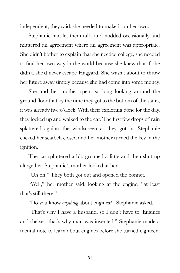independent, they said, she needed to make it on her own.

Stephanie had let them talk, and nodded occasionally and muttered an agreement where an agreement was appropriate. She didn't bother to explain that she needed college, she needed to find her own way in the world because she knew that if she didn't, she'd never escape Haggard. She wasn't about to throw her future away simply because she had come into some money.

She and her mother spent so long looking around the ground floor that by the time they got to the bottom of the stairs, it was already five o'clock. With their exploring done for the day, they locked up and walked to the car. The first few drops of rain splattered against the windscreen as they got in. Stephanie clicked her seatbelt closed and her mother turned the key in the ignition.

The car spluttered a bit, groaned a little and then shut up altogether. Stephanie's mother looked at her.

"Uh oh." They both got out and opened the bonnet.

"Well," her mother said, looking at the engine, "at least that's still there."

"Do you know *anything* about engines?" Stephanie asked.

"That's why I have a husband, so I don't have to. Engines and shelves, that's why man was invented." Stephanie made a mental note to learn about engines before she turned eighteen.

**31**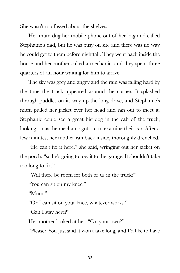She wasn't too fussed about the shelves.

Her mum dug her mobile phone out of her bag and called Stephanie's dad, but he was busy on site and there was no way he could get to them before nightfall. They went back inside the house and her mother called a mechanic, and they spent three quarters of an hour waiting for him to arrive.

The sky was grey and angry and the rain was falling hard by the time the truck appeared around the corner. It splashed through puddles on its way up the long drive, and Stephanie's mum pulled her jacket over her head and ran out to meet it. Stephanie could see a great big dog in the cab of the truck, looking on as the mechanic got out to examine their car. After a few minutes, her mother ran back inside, thoroughly drenched.

"He can't fix it here," she said, wringing out her jacket on the porch, "so he's going to tow it to the garage. It shouldn't take too long to fix."

"Will there be room for both of us in the truck?"

"You can sit on my knee."

"Mum!"

"Or I can sit on your knee, whatever works."

"Can I stay here?"

Her mother looked at her. "On your own?"

"Please? You just said it won't take long, and I'd like to have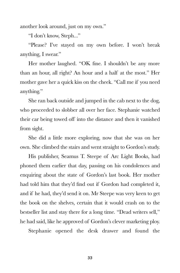another look around, just on my own."

"I don't know, Steph..."

"Please? I've stayed on my own before. I won't break anything, I swear."

Her mother laughed. "OK fine. I shouldn't be any more than an hour, all right? An hour and a half at the most." Her mother gave her a quick kiss on the cheek. "Call me if you need anything."

She ran back outside and jumped in the cab next to the dog, who proceeded to slobber all over her face. Stephanie watched their car being towed off into the distance and then it vanished from sight.

She did a little more exploring, now that she was on her own. She climbed the stairs and went straight to Gordon's study.

His publisher, Seamus T. Steepe of Arc Light Books, had phoned them earlier that day, passing on his condolences and enquiring about the state of Gordon's last book. Her mother had told him that they'd find out if Gordon had completed it, and if he had, they'd send it on. Mr Steepe was very keen to get the book on the shelves, certain that it would crash on to the bestseller list and stay there for a long time. "Dead writers sell," he had said, like he approved of Gordon's clever marketing ploy.

Stephanie opened the desk drawer and found the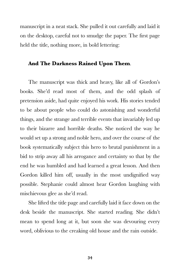manuscript in a neat stack. She pulled it out carefully and laid it on the desktop, careful not to smudge the paper. The first page held the title, nothing more, in bold lettering:

#### **And The Darkness Rained Upon Them**.

The manuscript was thick and heavy, like all of Gordon's books. She'd read most of them, and the odd splash of pretension aside, had quite enjoyed his work. His stories tended to be about people who could do astonishing and wonderful things, and the strange and terrible events that invariably led up to their bizarre and horrible deaths. She noticed the way he would set up a strong and noble hero, and over the course of the book systematically subject this hero to brutal punishment in a bid to strip away all his arrogance and certainty so that by the end he was humbled and had learned a great lesson. And then Gordon killed him off, usually in the most undignified way possible. Stephanie could almost hear Gordon laughing with mischievous glee as she'd read.

She lifted the title page and carefully laid it face down on the desk beside the manuscript. She started reading. She didn't mean to spend long at it, but soon she was devouring every word, oblivious to the creaking old house and the rain outside.

**34**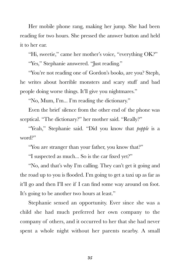Her mobile phone rang, making her jump. She had been reading for two hours. She pressed the answer button and held it to her ear.

"Hi, sweetie," came her mother's voice, "everything OK?"

"Yes," Stephanie answered. "Just reading."

"You're not reading one of Gordon's books, are you? Steph, he writes about horrible monsters and scary stuff and bad people doing worse things. It'll give you nightmares."

"No, Mum, I'm... I'm reading the dictionary."

Even the brief silence from the other end of the phone was sceptical. "The dictionary?" her mother said. "Really?"

"Yeah," Stephanie said. "Did you know that *popple* is a word?"

"You are stranger than your father, you know that?"

"I suspected as much... So is the car fixed yet?"

"No, and that's why I'm calling. They can't get it going and the road up to you is flooded. I'm going to get a taxi up as far as it'll go and then I'll see if I can find some way around on foot. It's going to be another two hours at least."

Stephanie sensed an opportunity. Ever since she was a child she had much preferred her own company to the company of others, and it occurred to her that she had never spent a whole night without her parents nearby. A small

**35**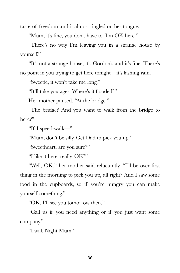taste of freedom and it almost tingled on her tongue.

"Mum, it's fine, you don't have to. I'm OK here."

"There's no way I'm leaving you in a strange house by yourself."

"It's not a strange house; it's Gordon's and it's fine. There's no point in you trying to get here tonight – it's lashing rain."

"Sweetie, it won't take me long."

"It'll take you ages. Where's it flooded?"

Her mother paused. "At the bridge."

"The bridge? And you want to walk from the bridge to here?"

"If I speed-walk—"

"Mum, don't be silly. Get Dad to pick you up."

"Sweetheart, are you sure?"

"I like it here, really. OK?"

"Well, OK," her mother said reluctantly. "I'll be over first thing in the morning to pick you up, all right? And I saw some food in the cupboards, so if you're hungry you can make yourself something."

"OK. I'll see you tomorrow then."

"Call us if you need anything or if you just want some company."

"I will. Night Mum."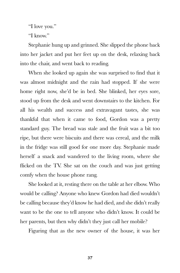"I love you."

"I know."

Stephanie hung up and grinned. She slipped the phone back into her jacket and put her feet up on the desk, relaxing back into the chair, and went back to reading.

When she looked up again she was surprised to find that it was almost midnight and the rain had stopped. If she were home right now, she'd be in bed. She blinked, her eyes sore, stood up from the desk and went downstairs to the kitchen. For all his wealth and success and extravagant tastes, she was thankful that when it came to food, Gordon was a pretty standard guy. The bread was stale and the fruit was a bit too ripe, but there were biscuits and there was cereal, and the milk in the fridge was still good for one more day. Stephanie made herself a snack and wandered to the living room, where she flicked on the TV. She sat on the couch and was just getting comfy when the house phone rang.

She looked at it, resting there on the table at her elbow. Who would be calling? Anyone who knew Gordon had died wouldn't be calling because they'd know he had died, and she didn't really want to be the one to tell anyone who didn't know. It could be her parents, but then why didn't they just call her mobile?

Figuring that as the new owner of the house, it was her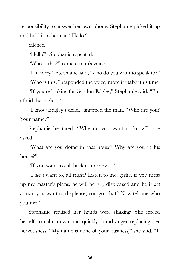responsibility to answer her own phone, Stephanie picked it up and held it to her ear. "Hello?"

Silence.

"Hello?" Stephanie repeated.

"Who is this?" came a man's voice.

"I'm sorry," Stephanie said, "who do you want to speak to?"

"Who is this?" responded the voice, more irritably this time.

"If you're looking for Gordon Edgley," Stephanie said, "I'm afraid that he's—"

"I know Edgley's dead," snapped the man. "Who are you? Your name?"

Stephanie hesitated. "Why do you want to know?" she asked.

"What are you doing in that house? Why are you in his house?"

"If you want to call back tomorrow—"

"I *don't* want to, all right? Listen to me, girlie, if you mess up my master's plans, he will be *very* displeased and he is *not* a man you want to displease, you got that? Now tell me who you are!"

Stephanie realised her hands were shaking. She forced herself to calm down and quickly found anger replacing her nervousness. "My name is none of your business," she said. "If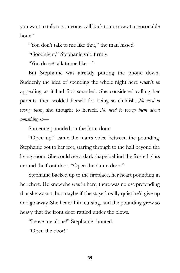you want to talk to someone, call back tomorrow at a reasonable hour."

"You don't talk to me like that," the man hissed.

"Goodnight," Stephanie said firmly.

"You do *not* talk to me like—"

But Stephanie was already putting the phone down. Suddenly the idea of spending the whole night here wasn't as appealing as it had first sounded. She considered calling her parents, then scolded herself for being so childish. *No need to worry them*, she thought to herself. *No need to worry them about something so*—

Someone pounded on the front door.

"Open up!" came the man's voice between the pounding. Stephanie got to her feet, staring through to the hall beyond the living room. She could see a dark shape behind the frosted glass around the front door. "Open the damn door!"

Stephanie backed up to the fireplace, her heart pounding in her chest. He knew she was in here, there was no use pretending that she wasn't, but maybe if she stayed really quiet he'd give up and go away. She heard him cursing, and the pounding grew so heavy that the front door rattled under the blows.

"Leave me alone!" Stephanie shouted.

"Open the door!"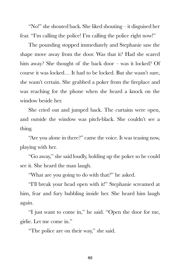"No!" she shouted back. She liked shouting – it disguised her fear. "I'm calling the police! I'm calling the police right now!"

The pounding stopped immediately and Stephanie saw the shape move away from the door. Was that it? Had she scared him away? She thought of the back door – was it locked? Of course it was locked… It had to be locked. But she wasn't sure, she wasn't certain. She grabbed a poker from the fireplace and was reaching for the phone when she heard a knock on the window beside her.

She cried out and jumped back. The curtains were open, and outside the window was pitch-black. She couldn't see a thing.

"Are you alone in there?" came the voice. It was teasing now, playing with her.

"Go away," she said loudly, holding up the poker so he could see it. She heard the man laugh.

"What are you going to do with that?" he asked.

"I'll break your head open with it!" Stephanie screamed at him, fear and fury bubbling inside her. She heard him laugh again.

"I just want to come in," he said. "Open the door for me, girlie. Let me come in."

"The police are on their way," she said.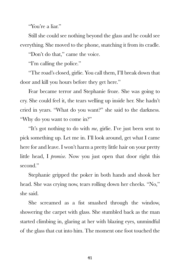"You're a liar."

Still she could see nothing beyond the glass and he could see everything. She moved to the phone, snatching it from its cradle.

"Don't do that," came the voice.

"I'm calling the police."

"The road's closed, girlie. You call them, I'll break down that door and kill you hours before they get here."

Fear became terror and Stephanie froze. She was going to cry. She could feel it, the tears welling up inside her. She hadn't cried in years. "What do you want?" she said to the darkness. "Why do you want to come in?"

"It's got nothing to do with *me*, girlie. I've just been sent to pick something up. Let me in. I'll look around, get what I came here for and leave. I won't harm a pretty little hair on your pretty little head, I *promise*. Now you just open that door right this second."

Stephanie gripped the poker in both hands and shook her head. She was crying now, tears rolling down her cheeks. "No," she said.

She screamed as a fist smashed through the window, showering the carpet with glass. She stumbled back as the man started climbing in, glaring at her with blazing eyes, unmindful of the glass that cut into him. The moment one foot touched the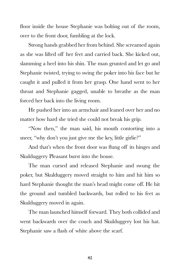floor inside the house Stephanie was bolting out of the room, over to the front door, fumbling at the lock.

Strong hands grabbed her from behind. She screamed again as she was lifted off her feet and carried back. She kicked out, slamming a heel into his shin. The man grunted and let go and Stephanie twisted, trying to swing the poker into his face but he caught it and pulled it from her grasp. One hand went to her throat and Stephanie gagged, unable to breathe as the man forced her back into the living room.

He pushed her into an armchair and leaned over her and no matter how hard she tried she could not break his grip.

"Now then," the man said, his mouth contorting into a sneer, "why don't you just give me the key, little girlie?"

And that's when the front door was flung off its hinges and Skulduggery Pleasant burst into the house.

The man cursed and released Stephanie and swung the poker, but Skulduggery moved straight to him and hit him so hard Stephanie thought the man's head might come off. He hit the ground and tumbled backwards, but rolled to his feet as Skulduggery moved in again.

The man launched himself forward. They both collided and went backwards over the couch and Skulduggery lost his hat. Stephanie saw a flash of white above the scarf.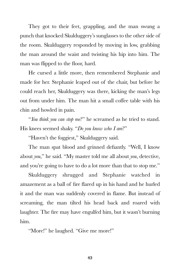They got to their feet, grappling, and the man swung a punch that knocked Skulduggery's sunglasses to the other side of the room. Skulduggery responded by moving in low, grabbing the man around the waist and twisting his hip into him. The man was flipped to the floor, hard.

He cursed a little more, then remembered Stephanie and made for her. Stephanie leaped out of the chair, but before he could reach her, Skulduggery was there, kicking the man's legs out from under him. The man hit a small coffee table with his chin and howled in pain.

"*You think you can stop me*?" he screamed as he tried to stand. His knees seemed shaky. "*Do you know who I am*?"

"Haven't the foggiest," Skulduggery said.

The man spat blood and grinned defiantly. "Well, I know about *you*," he said. "My master told me all about *you*, detective, and you're going to have to do a lot more than that to stop me."

Skulduggery shrugged and Stephanie watched in amazement as a ball of fire flared up in his hand and he hurled it and the man was suddenly covered in flame. But instead of screaming, the man tilted his head back and roared with laughter. The fire may have engulfed him, but it wasn't burning him.

"More!" he laughed. "Give me more!"